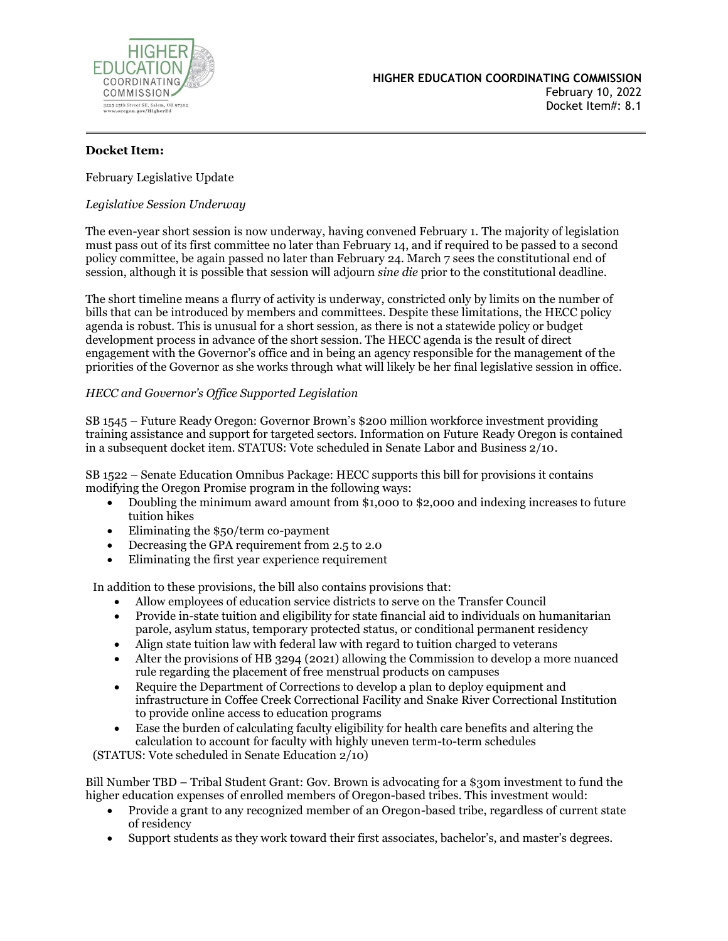

# **Docket Item:**

February Legislative Update

### *Legislative Session Underway*

The even-year short session is now underway, having convened February 1. The majority of legislation must pass out of its first committee no later than February 14, and if required to be passed to a second policy committee, be again passed no later than February 24. March 7 sees the constitutional end of session, although it is possible that session will adjourn *sine die* prior to the constitutional deadline.

The short timeline means a flurry of activity is underway, constricted only by limits on the number of bills that can be introduced by members and committees. Despite these limitations, the HECC policy agenda is robust. This is unusual for a short session, as there is not a statewide policy or budget development process in advance of the short session. The HECC agenda is the result of direct engagement with the Governor's office and in being an agency responsible for the management of the priorities of the Governor as she works through what will likely be her final legislative session in office.

### *HECC and Governor's Office Supported Legislation*

SB 1545 – Future Ready Oregon: Governor Brown's \$200 million workforce investment providing training assistance and support for targeted sectors. Information on Future Ready Oregon is contained in a subsequent docket item. STATUS: Vote scheduled in Senate Labor and Business 2/10.

SB 1522 – Senate Education Omnibus Package: HECC supports this bill for provisions it contains modifying the Oregon Promise program in the following ways:

- Doubling the minimum award amount from \$1,000 to \$2,000 and indexing increases to future tuition hikes
- Eliminating the \$50/term co-payment
- Decreasing the GPA requirement from 2.5 to 2.0
- Eliminating the first year experience requirement

In addition to these provisions, the bill also contains provisions that:

- Allow employees of education service districts to serve on the Transfer Council
- Provide in-state tuition and eligibility for state financial aid to individuals on humanitarian parole, asylum status, temporary protected status, or conditional permanent residency
- Align state tuition law with federal law with regard to tuition charged to veterans
- Alter the provisions of HB 3294 (2021) allowing the Commission to develop a more nuanced rule regarding the placement of free menstrual products on campuses
- Require the Department of Corrections to develop a plan to deploy equipment and infrastructure in Coffee Creek Correctional Facility and Snake River Correctional Institution to provide online access to education programs
- Ease the burden of calculating faculty eligibility for health care benefits and altering the calculation to account for faculty with highly uneven term-to-term schedules

(STATUS: Vote scheduled in Senate Education 2/10)

Bill Number TBD – Tribal Student Grant: Gov. Brown is advocating for a \$30m investment to fund the higher education expenses of enrolled members of Oregon-based tribes. This investment would:

- Provide a grant to any recognized member of an Oregon-based tribe, regardless of current state of residency
- Support students as they work toward their first associates, bachelor's, and master's degrees.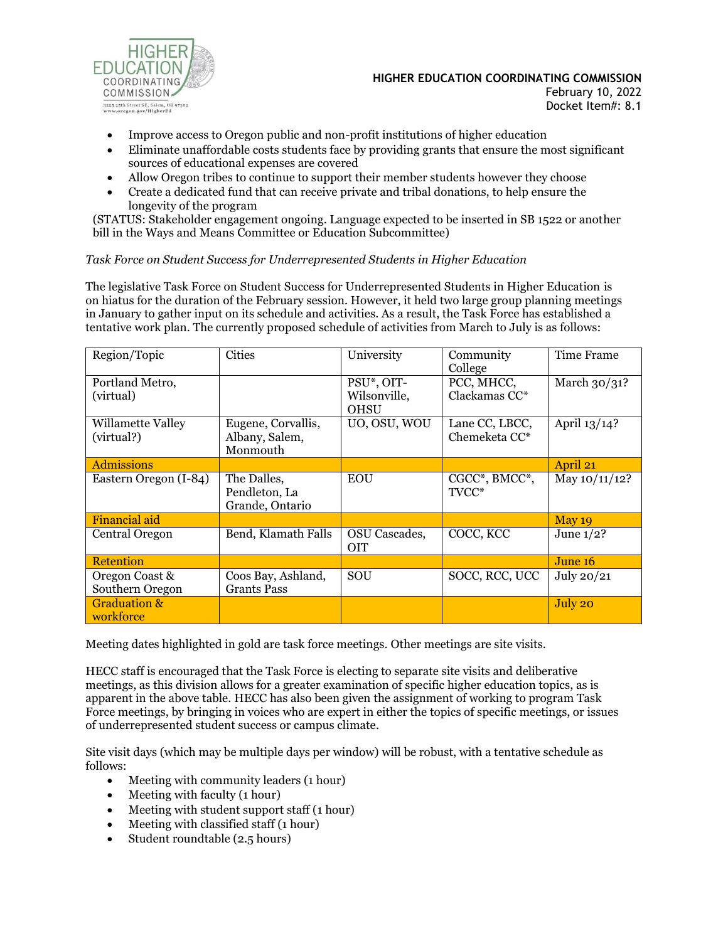

# **HIGHER EDUCATION COORDINATING COMMISSION**

February 10, 2022 Docket Item#: 8.1

- Improve access to Oregon public and non-profit institutions of higher education
- Eliminate unaffordable costs students face by providing grants that ensure the most significant sources of educational expenses are covered
- Allow Oregon tribes to continue to support their member students however they choose
- Create a dedicated fund that can receive private and tribal donations, to help ensure the longevity of the program

(STATUS: Stakeholder engagement ongoing. Language expected to be inserted in SB 1522 or another bill in the Ways and Means Committee or Education Subcommittee)

# *Task Force on Student Success for Underrepresented Students in Higher Education*

The legislative Task Force on Student Success for Underrepresented Students in Higher Education is on hiatus for the duration of the February session. However, it held two large group planning meetings in January to gather input on its schedule and activities. As a result, the Task Force has established a tentative work plan. The currently proposed schedule of activities from March to July is as follows:

| Region/Topic                         | <b>Cities</b>                                    | University                                | Community<br>College            | Time Frame      |
|--------------------------------------|--------------------------------------------------|-------------------------------------------|---------------------------------|-----------------|
| Portland Metro,<br>(virtual)         |                                                  | PSU*, OIT-<br>Wilsonville,<br><b>OHSU</b> | PCC, MHCC,<br>Clackamas CC*     | March $30/31$ ? |
| Willamette Valley<br>(virtual?)      | Eugene, Corvallis,<br>Albany, Salem,<br>Monmouth | UO, OSU, WOU                              | Lane CC, LBCC,<br>Chemeketa CC* | April 13/14?    |
| <b>Admissions</b>                    |                                                  |                                           |                                 | April 21        |
| Eastern Oregon (I-84)                | The Dalles,<br>Pendleton, La<br>Grande, Ontario  | <b>EOU</b>                                | CGCC*, BMCC*,<br>TVCC*          | May 10/11/12?   |
| <b>Financial aid</b>                 |                                                  |                                           |                                 | May 19          |
| Central Oregon                       | Bend, Klamath Falls                              | <b>OSU</b> Cascades,<br><b>OIT</b>        | COCC, KCC                       | June $1/2$ ?    |
| <b>Retention</b>                     |                                                  |                                           |                                 | June 16         |
| Oregon Coast &<br>Southern Oregon    | Coos Bay, Ashland,<br><b>Grants Pass</b>         | SOU                                       | SOCC, RCC, UCC                  | July 20/21      |
| <b>Graduation &amp;</b><br>workforce |                                                  |                                           |                                 | July 20         |

Meeting dates highlighted in gold are task force meetings. Other meetings are site visits.

HECC staff is encouraged that the Task Force is electing to separate site visits and deliberative meetings, as this division allows for a greater examination of specific higher education topics, as is apparent in the above table. HECC has also been given the assignment of working to program Task Force meetings, by bringing in voices who are expert in either the topics of specific meetings, or issues of underrepresented student success or campus climate.

Site visit days (which may be multiple days per window) will be robust, with a tentative schedule as follows:

- Meeting with community leaders (1 hour)
- Meeting with faculty (1 hour)
- Meeting with student support staff (1 hour)
- Meeting with classified staff (1 hour)
- Student roundtable (2.5 hours)